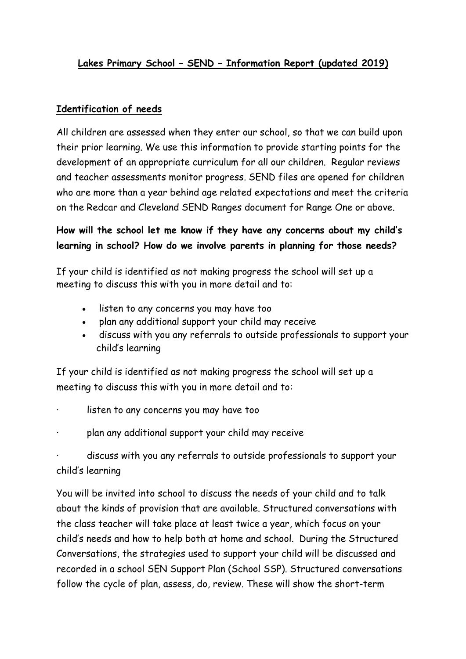# **Lakes Primary School – SEND – Information Report (updated 2019)**

#### **Identification of needs**

All children are assessed when they enter our school, so that we can build upon their prior learning. We use this information to provide starting points for the development of an appropriate curriculum for all our children. Regular reviews and teacher assessments monitor progress. SEND files are opened for children who are more than a year behind age related expectations and meet the criteria on the Redcar and Cleveland SEND Ranges document for Range One or above.

# **How will the school let me know if they have any concerns about my child's learning in school? How do we involve parents in planning for those needs?**

If your child is identified as not making progress the school will set up a meeting to discuss this with you in more detail and to:

- listen to any concerns you may have too
- plan any additional support your child may receive
- discuss with you any referrals to outside professionals to support your child's learning

If your child is identified as not making progress the school will set up a meeting to discuss this with you in more detail and to:

- listen to any concerns you may have too
- plan any additional support your child may receive

· discuss with you any referrals to outside professionals to support your child's learning

You will be invited into school to discuss the needs of your child and to talk about the kinds of provision that are available. Structured conversations with the class teacher will take place at least twice a year, which focus on your child's needs and how to help both at home and school. During the Structured Conversations, the strategies used to support your child will be discussed and recorded in a school SEN Support Plan (School SSP). Structured conversations follow the cycle of plan, assess, do, review. These will show the short-term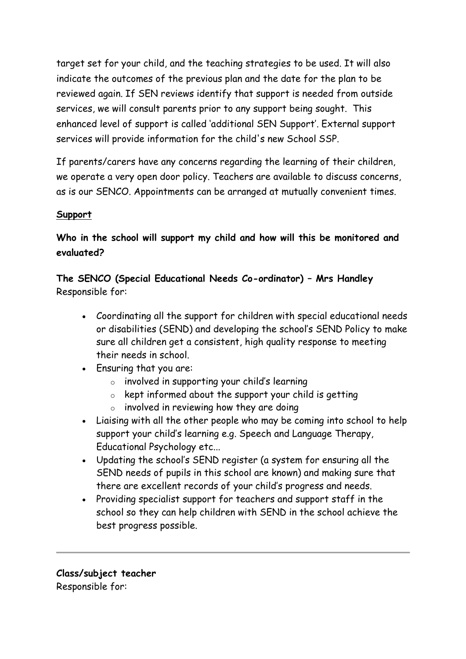target set for your child, and the teaching strategies to be used. It will also indicate the outcomes of the previous plan and the date for the plan to be reviewed again. If SEN reviews identify that support is needed from outside services, we will consult parents prior to any support being sought. This enhanced level of support is called 'additional SEN Support'. External support services will provide information for the child's new School SSP.

If parents/carers have any concerns regarding the learning of their children, we operate a very open door policy. Teachers are available to discuss concerns, as is our SENCO. Appointments can be arranged at mutually convenient times.

## **Support**

# **Who in the school will support my child and how will this be monitored and evaluated?**

**The SENCO (Special Educational Needs Co-ordinator) – Mrs Handley** Responsible for:

- Coordinating all the support for children with special educational needs or disabilities (SEND) and developing the school's SEND Policy to make sure all children get a consistent, high quality response to meeting their needs in school.
- Ensuring that you are:
	- o involved in supporting your child's learning
	- $\circ$  kept informed about the support your child is getting
	- $\circ$  involved in reviewing how they are doing
- Liaising with all the other people who may be coming into school to help support your child's learning e.g. Speech and Language Therapy, Educational Psychology etc...
- Updating the school's SEND register (a system for ensuring all the SEND needs of pupils in this school are known) and making sure that there are excellent records of your child's progress and needs.
- Providing specialist support for teachers and support staff in the school so they can help children with SEND in the school achieve the best progress possible.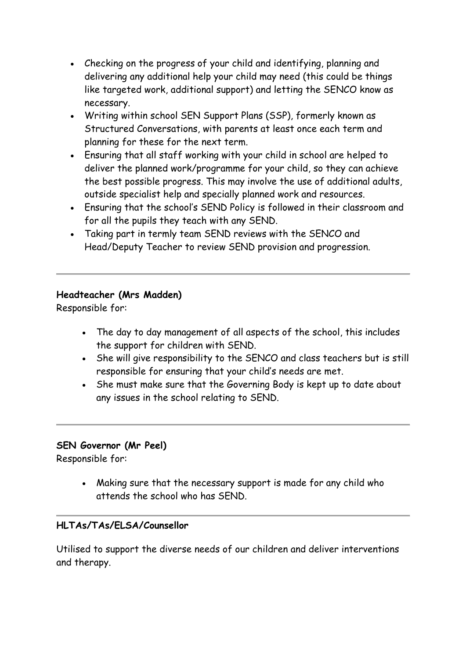- Checking on the progress of your child and identifying, planning and delivering any additional help your child may need (this could be things like targeted work, additional support) and letting the SENCO know as necessary.
- Writing within school SEN Support Plans (SSP), formerly known as Structured Conversations, with parents at least once each term and planning for these for the next term.
- Ensuring that all staff working with your child in school are helped to deliver the planned work/programme for your child, so they can achieve the best possible progress. This may involve the use of additional adults, outside specialist help and specially planned work and resources.
- Ensuring that the school's SEND Policy is followed in their classroom and for all the pupils they teach with any SEND.
- Taking part in termly team SEND reviews with the SENCO and Head/Deputy Teacher to review SEND provision and progression.

## **Headteacher (Mrs Madden)**

Responsible for:

- The day to day management of all aspects of the school, this includes the support for children with SEND.
- She will give responsibility to the SENCO and class teachers but is still responsible for ensuring that your child's needs are met.
- She must make sure that the Governing Body is kept up to date about any issues in the school relating to SEND.

### **SEN Governor (Mr Peel)**

Responsible for:

 Making sure that the necessary support is made for any child who attends the school who has SEND.

### **HLTAs/TAs/ELSA/Counsellor**

Utilised to support the diverse needs of our children and deliver interventions and therapy.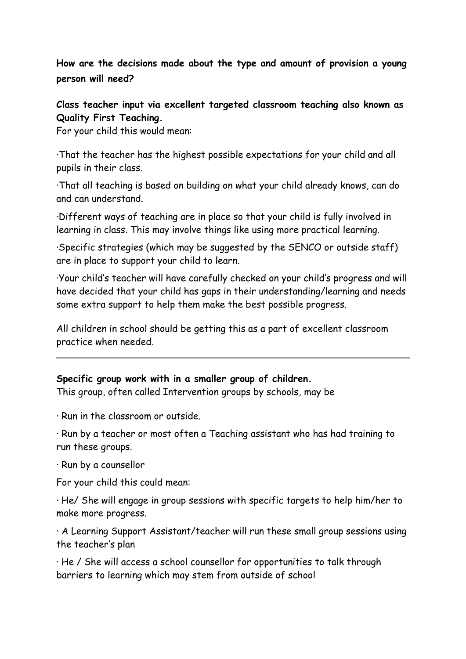**How are the decisions made about the type and amount of provision a young person will need?**

**Class teacher input via excellent targeted classroom teaching also known as Quality First Teaching.**

For your child this would mean:

·That the teacher has the highest possible expectations for your child and all pupils in their class.

·That all teaching is based on building on what your child already knows, can do and can understand.

·Different ways of teaching are in place so that your child is fully involved in learning in class. This may involve things like using more practical learning.

·Specific strategies (which may be suggested by the SENCO or outside staff) are in place to support your child to learn.

·Your child's teacher will have carefully checked on your child's progress and will have decided that your child has gaps in their understanding/learning and needs some extra support to help them make the best possible progress.

All children in school should be getting this as a part of excellent classroom practice when needed.

#### **Specific group work with in a smaller group of children.**

This group, often called Intervention groups by schools, may be

· Run in the classroom or outside.

· Run by a teacher or most often a Teaching assistant who has had training to run these groups.

· Run by a counsellor

For your child this could mean:

· He/ She will engage in group sessions with specific targets to help him/her to make more progress.

· A Learning Support Assistant/teacher will run these small group sessions using the teacher's plan

· He / She will access a school counsellor for opportunities to talk through barriers to learning which may stem from outside of school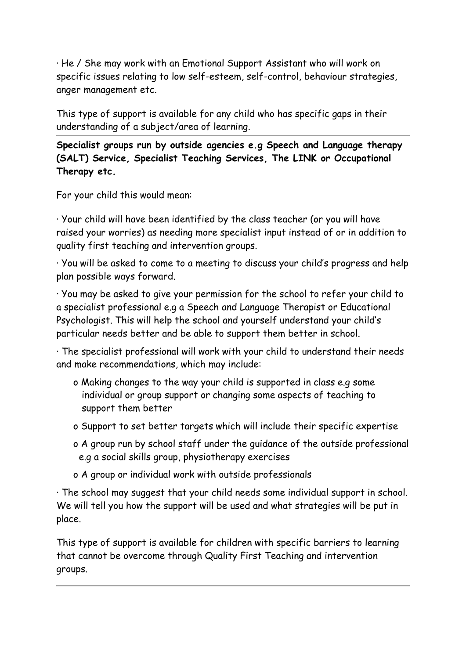· He / She may work with an Emotional Support Assistant who will work on specific issues relating to low self-esteem, self-control, behaviour strategies, anger management etc.

This type of support is available for any child who has specific gaps in their understanding of a subject/area of learning.

**Specialist groups run by outside agencies e.g Speech and Language therapy (SALT) Service, Specialist Teaching Services, The LINK or Occupational Therapy etc.**

For your child this would mean:

· Your child will have been identified by the class teacher (or you will have raised your worries) as needing more specialist input instead of or in addition to quality first teaching and intervention groups.

· You will be asked to come to a meeting to discuss your child's progress and help plan possible ways forward.

· You may be asked to give your permission for the school to refer your child to a specialist professional e.g a Speech and Language Therapist or Educational Psychologist. This will help the school and yourself understand your child's particular needs better and be able to support them better in school.

· The specialist professional will work with your child to understand their needs and make recommendations, which may include:

- o Making changes to the way your child is supported in class e.g some individual or group support or changing some aspects of teaching to support them better
- o Support to set better targets which will include their specific expertise
- o A group run by school staff under the guidance of the outside professional e.g a social skills group, physiotherapy exercises
- o A group or individual work with outside professionals

· The school may suggest that your child needs some individual support in school. We will tell you how the support will be used and what strategies will be put in place.

This type of support is available for children with specific barriers to learning that cannot be overcome through Quality First Teaching and intervention groups.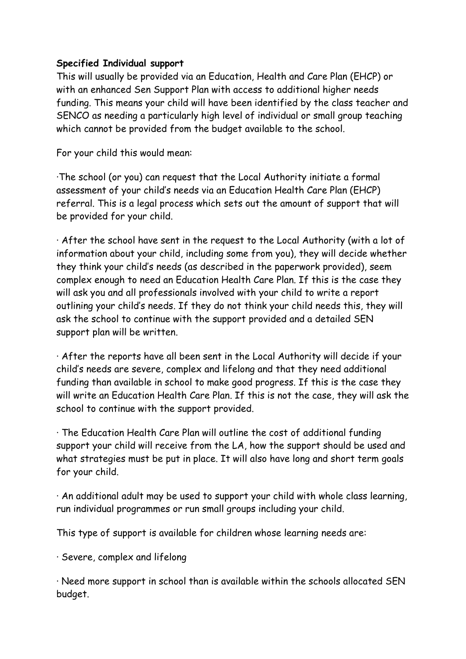#### **Specified Individual support**

This will usually be provided via an Education, Health and Care Plan (EHCP) or with an enhanced Sen Support Plan with access to additional higher needs funding. This means your child will have been identified by the class teacher and SENCO as needing a particularly high level of individual or small group teaching which cannot be provided from the budget available to the school.

For your child this would mean:

·The school (or you) can request that the Local Authority initiate a formal assessment of your child's needs via an Education Health Care Plan (EHCP) referral. This is a legal process which sets out the amount of support that will be provided for your child.

· After the school have sent in the request to the Local Authority (with a lot of information about your child, including some from you), they will decide whether they think your child's needs (as described in the paperwork provided), seem complex enough to need an Education Health Care Plan. If this is the case they will ask you and all professionals involved with your child to write a report outlining your child's needs. If they do not think your child needs this, they will ask the school to continue with the support provided and a detailed SEN support plan will be written.

· After the reports have all been sent in the Local Authority will decide if your child's needs are severe, complex and lifelong and that they need additional funding than available in school to make good progress. If this is the case they will write an Education Health Care Plan. If this is not the case, they will ask the school to continue with the support provided.

· The Education Health Care Plan will outline the cost of additional funding support your child will receive from the LA, how the support should be used and what strategies must be put in place. It will also have long and short term goals for your child.

· An additional adult may be used to support your child with whole class learning, run individual programmes or run small groups including your child.

This type of support is available for children whose learning needs are:

· Severe, complex and lifelong

· Need more support in school than is available within the schools allocated SEN budget.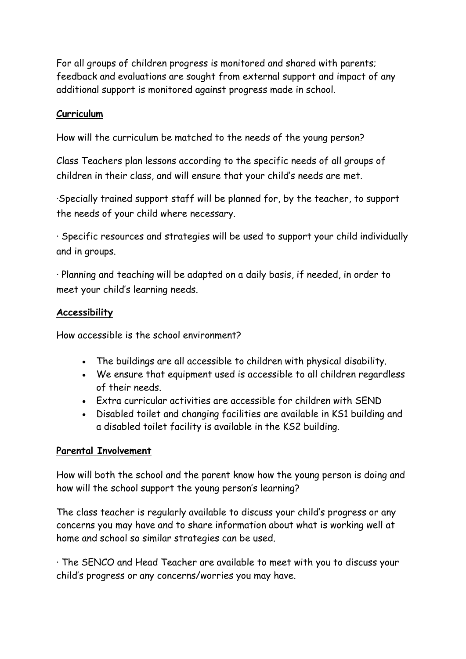For all groups of children progress is monitored and shared with parents; feedback and evaluations are sought from external support and impact of any additional support is monitored against progress made in school.

### **Curriculum**

How will the curriculum be matched to the needs of the young person?

Class Teachers plan lessons according to the specific needs of all groups of children in their class, and will ensure that your child's needs are met.

·Specially trained support staff will be planned for, by the teacher, to support the needs of your child where necessary.

· Specific resources and strategies will be used to support your child individually and in groups.

· Planning and teaching will be adapted on a daily basis, if needed, in order to meet your child's learning needs.

#### **Accessibility**

How accessible is the school environment?

- The buildings are all accessible to children with physical disability.
- We ensure that equipment used is accessible to all children regardless of their needs.
- Extra curricular activities are accessible for children with SEND
- Disabled toilet and changing facilities are available in KS1 building and a disabled toilet facility is available in the KS2 building.

### **Parental Involvement**

How will both the school and the parent know how the young person is doing and how will the school support the young person's learning?

The class teacher is regularly available to discuss your child's progress or any concerns you may have and to share information about what is working well at home and school so similar strategies can be used.

· The SENCO and Head Teacher are available to meet with you to discuss your child's progress or any concerns/worries you may have.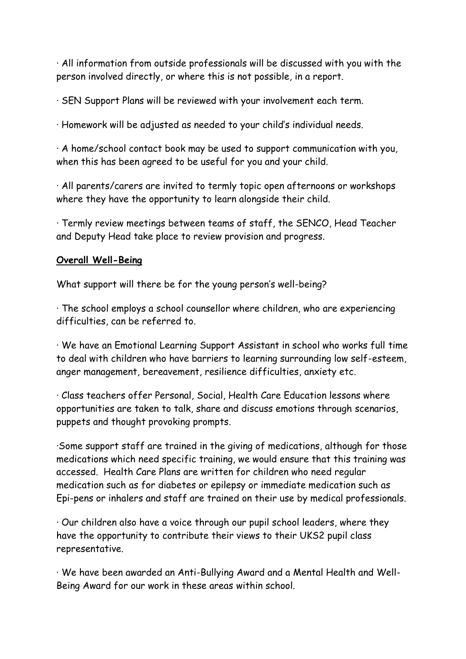· All information from outside professionals will be discussed with you with the person involved directly, or where this is not possible, in a report.

· SEN Support Plans will be reviewed with your involvement each term.

· Homework will be adjusted as needed to your child's individual needs.

· A home/school contact book may be used to support communication with you, when this has been agreed to be useful for you and your child.

· All parents/carers are invited to termly topic open afternoons or workshops where they have the opportunity to learn alongside their child.

· Termly review meetings between teams of staff, the SENCO, Head Teacher and Deputy Head take place to review provision and progress.

#### **Overall Well-Being**

What support will there be for the young person's well-being?

· The school employs a school counsellor where children, who are experiencing difficulties, can be referred to.

· We have an Emotional Learning Support Assistant in school who works full time to deal with children who have barriers to learning surrounding low self-esteem, anger management, bereavement, resilience difficulties, anxiety etc.

· Class teachers offer Personal, Social, Health Care Education lessons where opportunities are taken to talk, share and discuss emotions through scenarios, puppets and thought provoking prompts.

·Some support staff are trained in the giving of medications, although for those medications which need specific training, we would ensure that this training was accessed. Health Care Plans are written for children who need regular medication such as for diabetes or epilepsy or immediate medication such as Epi-pens or inhalers and staff are trained on their use by medical professionals.

· Our children also have a voice through our pupil school leaders, where they have the opportunity to contribute their views to their UKS2 pupil class representative.

· We have been awarded an Anti-Bullying Award and a Mental Health and Well-Being Award for our work in these areas within school.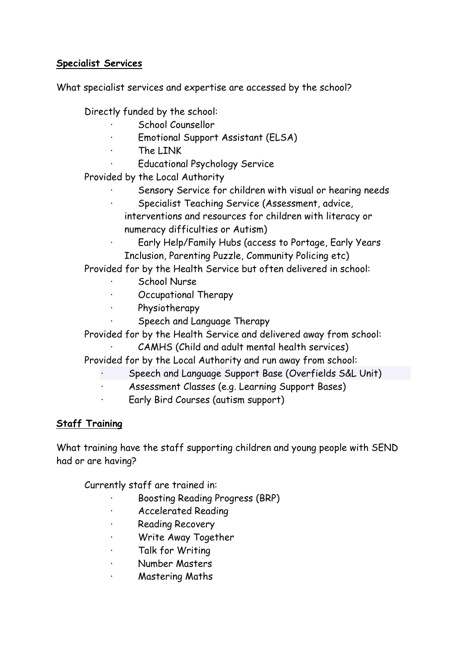### **Specialist Services**

What specialist services and expertise are accessed by the school?

Directly funded by the school:

- · School Counsellor
- Emotional Support Assistant (ELSA)
- · The LINK
	- Educational Psychology Service

Provided by the Local Authority

- Sensory Service for children with visual or hearing needs
- Specialist Teaching Service (Assessment, advice,
- interventions and resources for children with literacy or numeracy difficulties or Autism)
- Early Help/Family Hubs (access to Portage, Early Years Inclusion, Parenting Puzzle, Community Policing etc)

Provided for by the Health Service but often delivered in school:

- School Nurse
- · Occupational Therapy
- · Physiotherapy
	- Speech and Language Therapy

Provided for by the Health Service and delivered away from school:

CAMHS (Child and adult mental health services)

Provided for by the Local Authority and run away from school:

- Speech and Language Support Base (Overfields S&L Unit)
- Assessment Classes (e.g. Learning Support Bases)
- Early Bird Courses (autism support)

# **Staff Training**

What training have the staff supporting children and young people with SEND had or are having?

Currently staff are trained in:

- · Boosting Reading Progress (BRP)
- · Accelerated Reading
- **Reading Recovery**
- · Write Away Together
- Talk for Writing
- · Number Masters
- Mastering Maths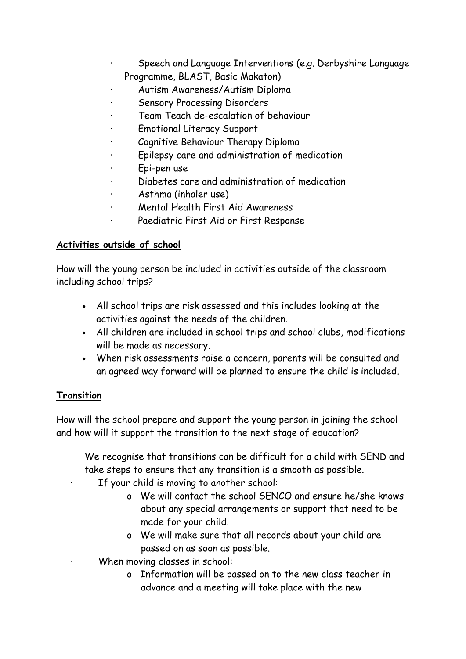- Speech and Language Interventions (e.g. Derbyshire Language Programme, BLAST, Basic Makaton)
- Autism Awareness/Autism Diploma
- Sensory Processing Disorders
- Team Teach de-escalation of behaviour
- Emotional Literacy Support
- Cognitive Behaviour Therapy Diploma
- Epilepsy care and administration of medication
- · Epi-pen use
- · Diabetes care and administration of medication
- · Asthma (inhaler use)
- · Mental Health First Aid Awareness
- Paediatric First Aid or First Response

### **Activities outside of school**

How will the young person be included in activities outside of the classroom including school trips?

- All school trips are risk assessed and this includes looking at the activities against the needs of the children.
- All children are included in school trips and school clubs, modifications will be made as necessary.
- When risk assessments raise a concern, parents will be consulted and an agreed way forward will be planned to ensure the child is included.

### **Transition**

How will the school prepare and support the young person in joining the school and how will it support the transition to the next stage of education?

We recognise that transitions can be difficult for a child with SEND and take steps to ensure that any transition is a smooth as possible.

If your child is moving to another school:

- o We will contact the school SENCO and ensure he/she knows about any special arrangements or support that need to be made for your child.
- o We will make sure that all records about your child are passed on as soon as possible.
- When moving classes in school:
	- o Information will be passed on to the new class teacher in advance and a meeting will take place with the new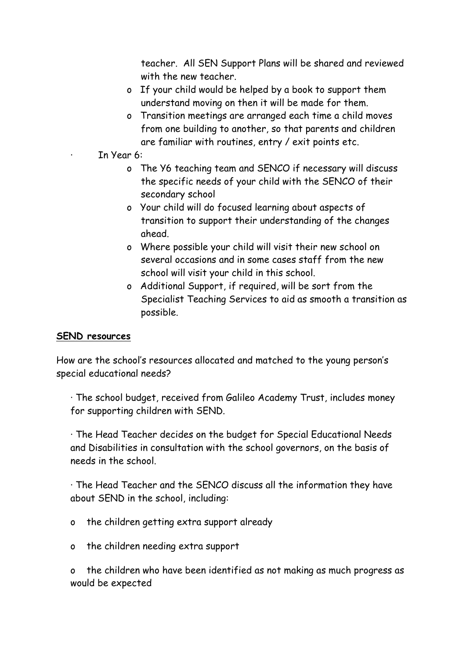teacher. All SEN Support Plans will be shared and reviewed with the new teacher.

- o If your child would be helped by a book to support them understand moving on then it will be made for them.
- o Transition meetings are arranged each time a child moves from one building to another, so that parents and children are familiar with routines, entry / exit points etc.

· In Year 6:

- o The Y6 teaching team and SENCO if necessary will discuss the specific needs of your child with the SENCO of their secondary school
- o Your child will do focused learning about aspects of transition to support their understanding of the changes ahead.
- o Where possible your child will visit their new school on several occasions and in some cases staff from the new school will visit your child in this school.
- o Additional Support, if required, will be sort from the Specialist Teaching Services to aid as smooth a transition as possible.

#### **SEND resources**

How are the school's resources allocated and matched to the young person's special educational needs?

· The school budget, received from Galileo Academy Trust, includes money for supporting children with SEND.

· The Head Teacher decides on the budget for Special Educational Needs and Disabilities in consultation with the school governors, on the basis of needs in the school.

· The Head Teacher and the SENCO discuss all the information they have about SEND in the school, including:

- o the children getting extra support already
- o the children needing extra support

o the children who have been identified as not making as much progress as would be expected